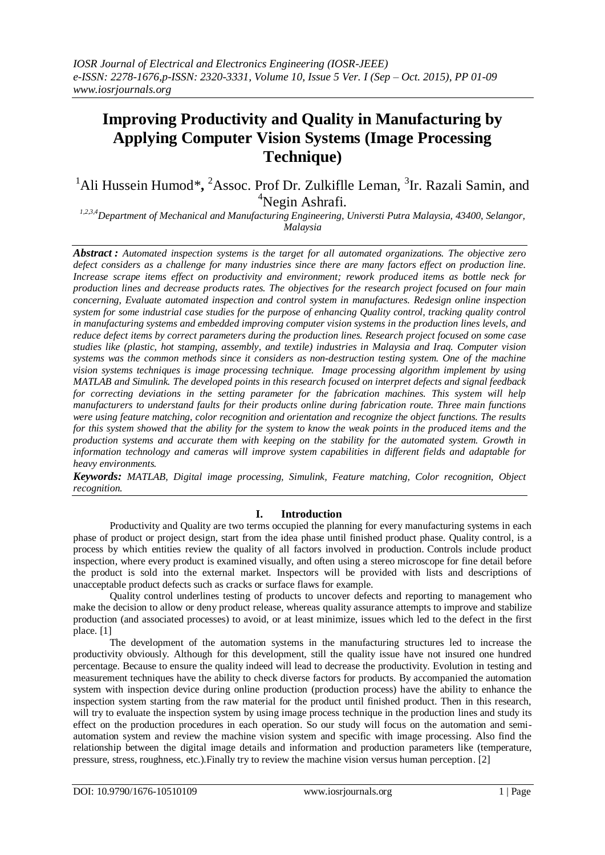# **Improving Productivity and Quality in Manufacturing by Applying Computer Vision Systems (Image Processing Technique)**

<sup>1</sup>Ali Hussein Humod<sup>\*</sup>, <sup>2</sup>Assoc. Prof Dr. Zulkiflle Leman, <sup>3</sup>Ir. Razali Samin, and <sup>4</sup>Negin Ashrafi.

*1,2,3,4Department of Mechanical and Manufacturing Engineering, Universti Putra Malaysia, 43400, Selangor, Malaysia* 

*Abstract : Automated inspection systems is the target for all automated organizations. The objective zero* defect considers as a challenge for many industries since there are many factors effect on production line. *Increase scrape items effect on productivity and environment; rework produced items as bottle neck for production lines and decrease products rates. The objectives for the research project focused on four main concerning, Evaluate automated inspection and control system in manufactures. Redesign online inspection system for some industrial case studies for the purpose of enhancing Quality control, tracking quality control in manufacturing systems and embedded improving computer vision systems in the production lines levels, and reduce defect items by correct parameters during the production lines. Research project focused on some case studies like (plastic, hot stamping, assembly, and textile) industries in Malaysia and Iraq. Computer vision systems was the common methods since it considers as non-destruction testing system. One of the machine vision systems techniques is image processing technique. Image processing algorithm implement by using MATLAB and Simulink. The developed points in this research focused on interpret defects and signal feedback for correcting deviations in the setting parameter for the fabrication machines. This system will help manufacturers to understand faults for their products online during fabrication route. Three main functions were using feature matching, color recognition and orientation and recognize the object functions. The results* for this system showed that the ability for the system to know the weak points in the produced items and the *production systems and accurate them with keeping on the stability for the automated system. Growth in information technology and cameras will improve system capabilities in different fields and adaptable for heavy environments.*

*Keywords: MATLAB, Digital image processing, Simulink, Feature matching, Color recognition, Object recognition.*

# **I. Introduction**

 Productivity and Quality are two terms occupied the planning for every manufacturing systems in each phase of product or project design, start from the idea phase until finished product phase. Quality control, is a process by which entities review the quality of all factors involved in production. Controls include product inspection, where every product is examined visually, and often using a stereo microscope for fine detail before the product is sold into the external market. Inspectors will be provided with lists and descriptions of unacceptable product defects such as cracks or surface flaws for example.

Quality control underlines testing of products to uncover defects and reporting to management who make the decision to allow or deny product release, whereas quality assurance attempts to improve and stabilize production (and associated processes) to avoid, or at least minimize, issues which led to the defect in the first place. [1]

The development of the automation systems in the manufacturing structures led to increase the productivity obviously. Although for this development, still the quality issue have not insured one hundred percentage. Because to ensure the quality indeed will lead to decrease the productivity. Evolution in testing and measurement techniques have the ability to check diverse factors for products. By accompanied the automation system with inspection device during online production (production process) have the ability to enhance the inspection system starting from the raw material for the product until finished product. Then in this research, will try to evaluate the inspection system by using image process technique in the production lines and study its effect on the production procedures in each operation. So our study will focus on the automation and semiautomation system and review the machine vision system and specific with image processing. Also find the relationship between the digital image details and information and production parameters like (temperature, pressure, stress, roughness, etc.).Finally try to review the machine vision versus human perception. [2]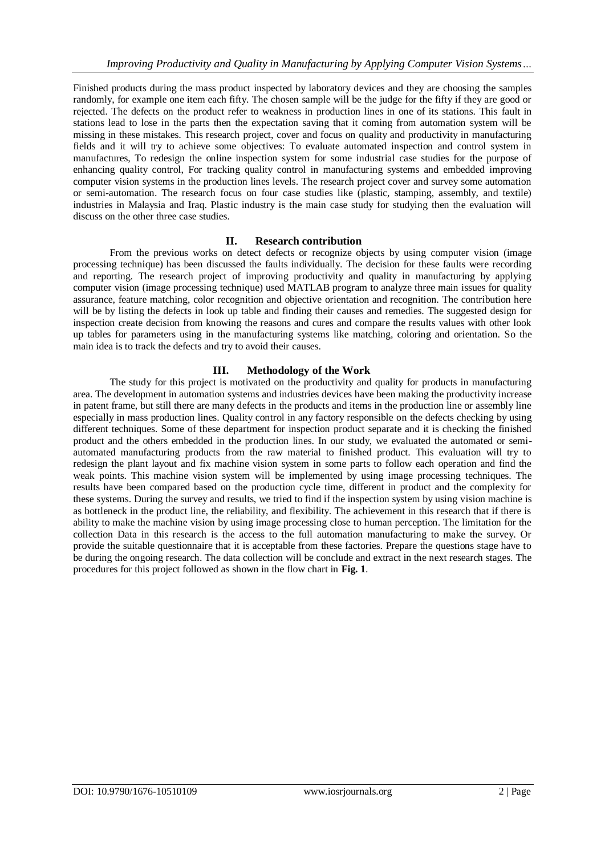Finished products during the mass product inspected by laboratory devices and they are choosing the samples randomly, for example one item each fifty. The chosen sample will be the judge for the fifty if they are good or rejected. The defects on the product refer to weakness in production lines in one of its stations. This fault in stations lead to lose in the parts then the expectation saving that it coming from automation system will be missing in these mistakes. This research project, cover and focus on quality and productivity in manufacturing fields and it will try to achieve some objectives: To evaluate automated inspection and control system in manufactures, To redesign the online inspection system for some industrial case studies for the purpose of enhancing quality control, For tracking quality control in manufacturing systems and embedded improving computer vision systems in the production lines levels. The research project cover and survey some automation or semi-automation. The research focus on four case studies like (plastic, stamping, assembly, and textile) industries in Malaysia and Iraq. Plastic industry is the main case study for studying then the evaluation will discuss on the other three case studies.

# **II. Research contribution**

From the previous works on detect defects or recognize objects by using computer vision (image processing technique) has been discussed the faults individually. The decision for these faults were recording and reporting. The research project of improving productivity and quality in manufacturing by applying computer vision (image processing technique) used MATLAB program to analyze three main issues for quality assurance, feature matching, color recognition and objective orientation and recognition. The contribution here will be by listing the defects in look up table and finding their causes and remedies. The suggested design for inspection create decision from knowing the reasons and cures and compare the results values with other look up tables for parameters using in the manufacturing systems like matching, coloring and orientation. So the main idea is to track the defects and try to avoid their causes.

### **III. Methodology of the Work**

 The study for this project is motivated on the productivity and quality for products in manufacturing area. The development in automation systems and industries devices have been making the productivity increase in patent frame, but still there are many defects in the products and items in the production line or assembly line especially in mass production lines. Quality control in any factory responsible on the defects checking by using different techniques. Some of these department for inspection product separate and it is checking the finished product and the others embedded in the production lines. In our study, we evaluated the automated or semiautomated manufacturing products from the raw material to finished product. This evaluation will try to redesign the plant layout and fix machine vision system in some parts to follow each operation and find the weak points. This machine vision system will be implemented by using image processing techniques. The results have been compared based on the production cycle time, different in product and the complexity for these systems. During the survey and results, we tried to find if the inspection system by using vision machine is as bottleneck in the product line, the reliability, and flexibility. The achievement in this research that if there is ability to make the machine vision by using image processing close to human perception. The limitation for the collection Data in this research is the access to the full automation manufacturing to make the survey. Or provide the suitable questionnaire that it is acceptable from these factories. Prepare the questions stage have to be during the ongoing research. The data collection will be conclude and extract in the next research stages. The procedures for this project followed as shown in the flow chart in **Fig. 1**.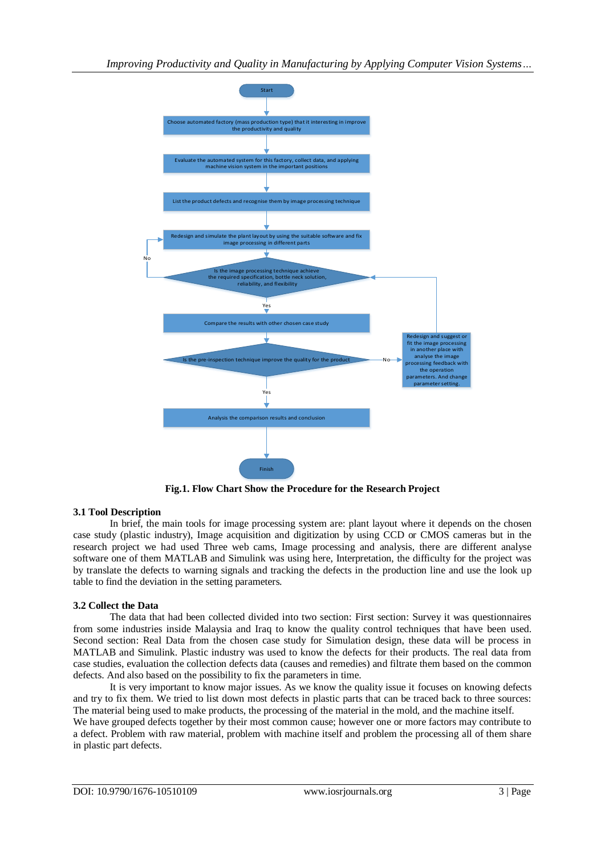

**Fig.1. Flow Chart Show the Procedure for the Research Project**

# **3.1 Tool Description**

 In brief, the main tools for image processing system are: plant layout where it depends on the chosen case study (plastic industry), Image acquisition and digitization by using CCD or CMOS cameras but in the research project we had used Three web cams, Image processing and analysis, there are different analyse software one of them MATLAB and Simulink was using here, Interpretation, the difficulty for the project was by translate the defects to warning signals and tracking the defects in the production line and use the look up table to find the deviation in the setting parameters.

# **3.2 Collect the Data**

 The data that had been collected divided into two section: First section: Survey it was questionnaires from some industries inside Malaysia and Iraq to know the quality control techniques that have been used. Second section: Real Data from the chosen case study for Simulation design, these data will be process in MATLAB and Simulink. Plastic industry was used to know the defects for their products. The real data from case studies, evaluation the collection defects data (causes and remedies) and filtrate them based on the common defects. And also based on the possibility to fix the parameters in time.

It is very important to know major issues. As we know the quality issue it focuses on knowing defects and try to fix them. We tried to list down most defects in plastic parts that can be traced back to three sources: The material being used to make products, the processing of the material in the mold, and the machine itself. We have grouped defects together by their most common cause; however one or more factors may contribute to a defect. Problem with raw material, problem with machine itself and problem the processing all of them share in plastic part defects.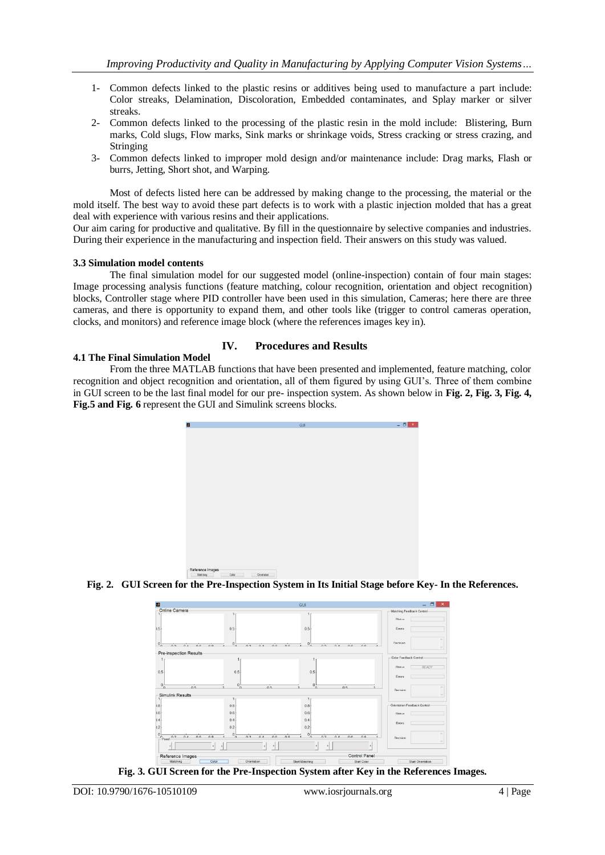- 1- Common defects linked to the plastic resins or additives being used to manufacture a part include: Color streaks, Delamination, Discoloration, Embedded contaminates, and Splay marker or silver streaks.
- 2- Common defects linked to the processing of the plastic resin in the mold include: Blistering, Burn marks, Cold slugs, Flow marks, Sink marks or shrinkage voids, Stress cracking or stress crazing, and Stringing
- 3- Common defects linked to improper mold design and/or maintenance include: Drag marks, Flash or burrs, Jetting, Short shot, and Warping.

Most of defects listed here can be addressed by making change to the processing, the material or the mold itself. The best way to avoid these part defects is to work with a plastic injection molded that has a great deal with experience with various resins and their applications.

Our aim caring for productive and qualitative. By fill in the questionnaire by selective companies and industries. During their experience in the manufacturing and inspection field. Their answers on this study was valued.

### **3.3 Simulation model contents**

 The final simulation model for our suggested model (online-inspection) contain of four main stages: Image processing analysis functions (feature matching, colour recognition, orientation and object recognition) blocks, Controller stage where PID controller have been used in this simulation, Cameras; here there are three cameras, and there is opportunity to expand them, and other tools like (trigger to control cameras operation, clocks, and monitors) and reference image block (where the references images key in).

# **IV. Procedures and Results**

### **4.1 The Final Simulation Model**

 From the three MATLAB functions that have been presented and implemented, feature matching, color recognition and object recognition and orientation, all of them figured by using GUI"s. Three of them combine in GUI screen to be the last final model for our pre- inspection system. As shown below in **Fig. 2, Fig. 3, Fig. 4, Fig.5 and Fig. 6** represent the GUI and Simulink screens blocks.







**Fig. 3. GUI Screen for the Pre-Inspection System after Key in the References Images.**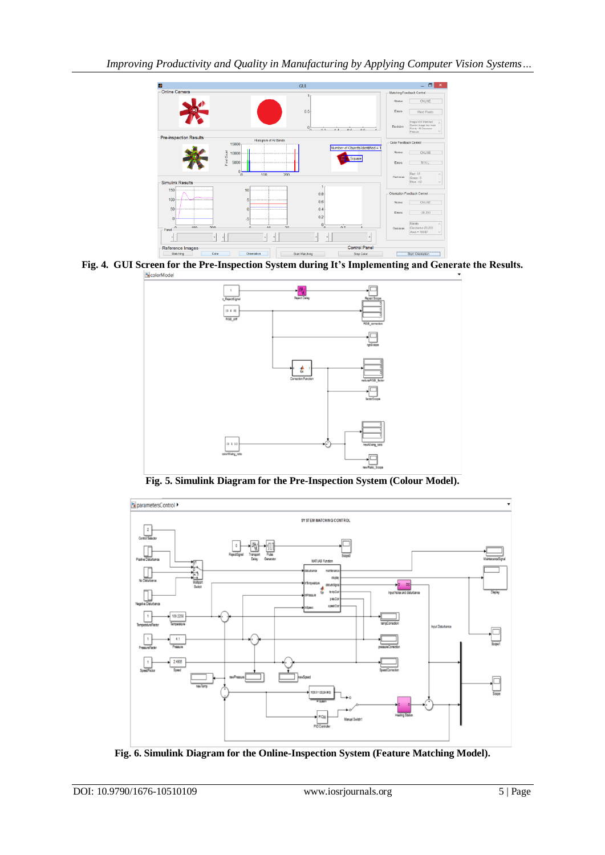

**Fig. 4. GUI Screen for the Pre-Inspection System during It's Implementing and Generate the Results.** 



**Fig. 5. Simulink Diagram for the Pre-Inspection System (Colour Model).**



**Fig. 6. Simulink Diagram for the Online-Inspection System (Feature Matching Model).**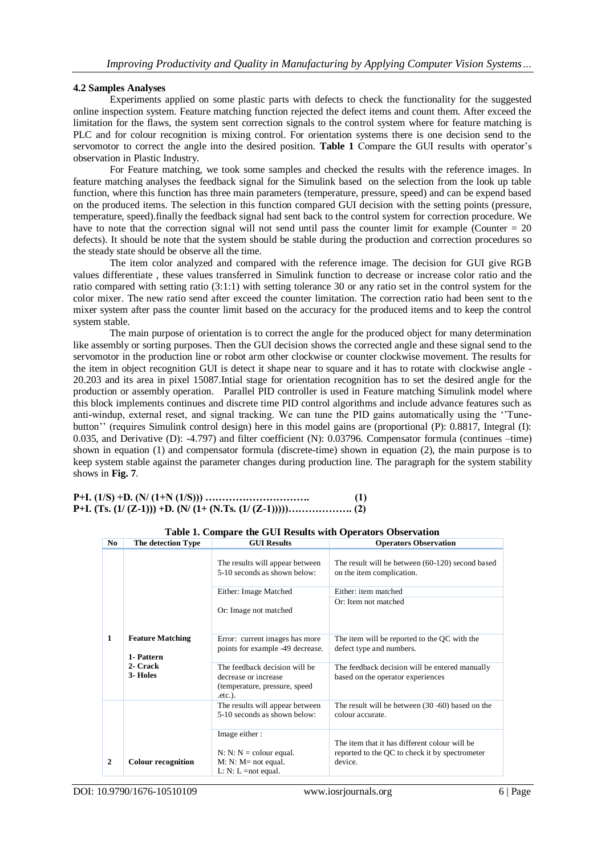#### **4.2 Samples Analyses**

 Experiments applied on some plastic parts with defects to check the functionality for the suggested online inspection system. Feature matching function rejected the defect items and count them. After exceed the limitation for the flaws, the system sent correction signals to the control system where for feature matching is PLC and for colour recognition is mixing control. For orientation systems there is one decision send to the servomotor to correct the angle into the desired position. **Table 1** Compare the GUI results with operator"s observation in Plastic Industry.

For Feature matching, we took some samples and checked the results with the reference images. In feature matching analyses the feedback signal for the Simulink based on the selection from the look up table function, where this function has three main parameters (temperature, pressure, speed) and can be expend based on the produced items. The selection in this function compared GUI decision with the setting points (pressure, temperature, speed).finally the feedback signal had sent back to the control system for correction procedure. We have to note that the correction signal will not send until pass the counter limit for example (Counter  $= 20$ ) defects). It should be note that the system should be stable during the production and correction procedures so the steady state should be observe all the time.

The item color analyzed and compared with the reference image. The decision for GUI give RGB values differentiate , these values transferred in Simulink function to decrease or increase color ratio and the ratio compared with setting ratio (3:1:1) with setting tolerance 30 or any ratio set in the control system for the color mixer. The new ratio send after exceed the counter limitation. The correction ratio had been sent to the mixer system after pass the counter limit based on the accuracy for the produced items and to keep the control system stable.

The main purpose of orientation is to correct the angle for the produced object for many determination like assembly or sorting purposes. Then the GUI decision shows the corrected angle and these signal send to the servomotor in the production line or robot arm other clockwise or counter clockwise movement. The results for the item in object recognition GUI is detect it shape near to square and it has to rotate with clockwise angle - 20.203 and its area in pixel 15087.Intial stage for orientation recognition has to set the desired angle for the production or assembly operation. Parallel PID controller is used in Feature matching Simulink model where this block implements continues and discrete time PID control algorithms and include advance features such as anti-windup, external reset, and signal tracking. We can tune the PID gains automatically using the "Tunebutton"" (requires Simulink control design) here in this model gains are (proportional (P): 0.8817, Integral (I): 0.035, and Derivative (D): -4.797) and filter coefficient (N): 0.03796. Compensator formula (continues –time) shown in equation (1) and compensator formula (discrete-time) shown in equation (2), the main purpose is to keep system stable against the parameter changes during production line. The paragraph for the system stability shows in **Fig. 7**.

#### **P+I. (1/S) +D. (N/ (1+N (1/S))) …………………………. (1) P+I. (Ts. (1/ (Z-1))) +D. (N/ (1+ (N.Ts. (1/ (Z-1)))))………………. (2)**

| No.          | The detection Type                                            | <b>GUI Results</b>                                                                                   | <b>Operators Observation</b>                                                                               |
|--------------|---------------------------------------------------------------|------------------------------------------------------------------------------------------------------|------------------------------------------------------------------------------------------------------------|
|              |                                                               | The results will appear between<br>5-10 seconds as shown below:                                      | The result will be between (60-120) second based<br>on the item complication.                              |
|              |                                                               | Either: Image Matched                                                                                | Either: item matched                                                                                       |
|              |                                                               | Or: Image not matched                                                                                | Or: Item not matched                                                                                       |
| 1            | <b>Feature Matching</b><br>1- Pattern<br>2- Crack<br>3- Holes | Error: current images has more<br>points for example -49 decrease.                                   | The item will be reported to the QC with the<br>defect type and numbers.                                   |
|              |                                                               | The feedback decision will be<br>decrease or increase<br>(temperature, pressure, speed)<br>$etc.$ ). | The feedback decision will be entered manually<br>based on the operator experiences                        |
|              |                                                               | The results will appear between                                                                      | The result will be between (30 -60) based on the                                                           |
|              |                                                               | 5-10 seconds as shown below:                                                                         | colour accurate.                                                                                           |
|              |                                                               | Image either:                                                                                        |                                                                                                            |
| $\mathbf{2}$ | <b>Colour recognition</b>                                     | $N: N: N =$ colour equal.<br>$M: N: M = not equal.$<br>$L: N: L = not equal.$                        | The item that it has different colour will be<br>reported to the QC to check it by spectrometer<br>device. |

**Table 1. Compare the GUI Results with Operators Observation**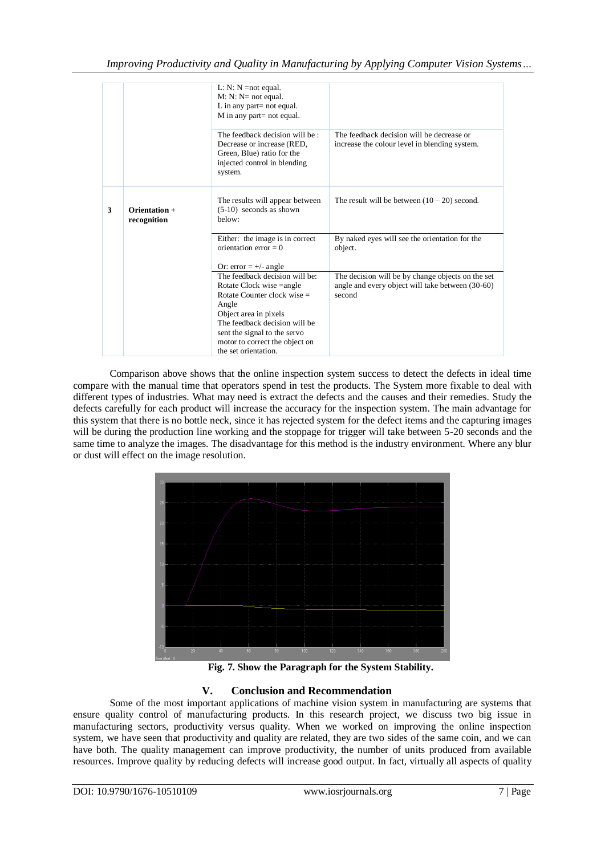|   |                              | $L: N: N = not equal.$<br>$M: N: N = not equal.$<br>$L$ in any part= not equal.<br>M in any part= not equal.                                                                                                                                              |                                                                                                                 |
|---|------------------------------|-----------------------------------------------------------------------------------------------------------------------------------------------------------------------------------------------------------------------------------------------------------|-----------------------------------------------------------------------------------------------------------------|
|   |                              | The feedback decision will be:<br>Decrease or increase (RED,<br>Green, Blue) ratio for the<br>injected control in blending<br>system.                                                                                                                     | The feedback decision will be decrease or<br>increase the colour level in blending system.                      |
| 3 | Orientation +<br>recognition | The results will appear between<br>$(5-10)$ seconds as shown<br>helow:                                                                                                                                                                                    | The result will be between $(10 – 20)$ second.                                                                  |
|   |                              | Either: the image is in correct<br>orientation error $= 0$<br>Or: $error = +/- angle$                                                                                                                                                                     | By naked eyes will see the orientation for the<br>object.                                                       |
|   |                              | The feedback decision will be:<br>Rotate Clock wise = angle<br>Rotate Counter clock wise $=$<br>Angle<br>Object area in pixels<br>The feedback decision will be<br>sent the signal to the servo<br>motor to correct the object on<br>the set orientation. | The decision will be by change objects on the set<br>angle and every object will take between (30-60)<br>second |

 Comparison above shows that the online inspection system success to detect the defects in ideal time compare with the manual time that operators spend in test the products. The System more fixable to deal with different types of industries. What may need is extract the defects and the causes and their remedies. Study the defects carefully for each product will increase the accuracy for the inspection system. The main advantage for this system that there is no bottle neck, since it has rejected system for the defect items and the capturing images will be during the production line working and the stoppage for trigger will take between 5-20 seconds and the same time to analyze the images. The disadvantage for this method is the industry environment. Where any blur or dust will effect on the image resolution.



**Fig. 7. Show the Paragraph for the System Stability.**

# **V. Conclusion and Recommendation**

 Some of the most important applications of machine vision system in manufacturing are systems that ensure quality control of manufacturing products. In this research project, we discuss two big issue in manufacturing sectors, productivity versus quality. When we worked on improving the online inspection system, we have seen that productivity and quality are related, they are two sides of the same coin, and we can have both. The quality management can improve productivity, the number of units produced from available resources. Improve quality by reducing defects will increase good output. In fact, virtually all aspects of quality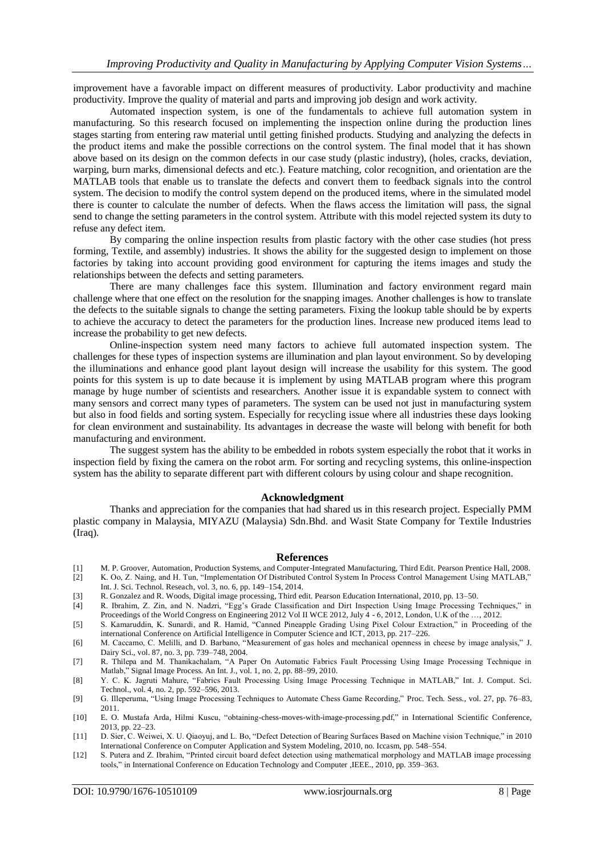improvement have a favorable impact on different measures of productivity. Labor productivity and machine productivity. Improve the quality of material and parts and improving job design and work activity.

Automated inspection system, is one of the fundamentals to achieve full automation system in manufacturing. So this research focused on implementing the inspection online during the production lines stages starting from entering raw material until getting finished products. Studying and analyzing the defects in the product items and make the possible corrections on the control system. The final model that it has shown above based on its design on the common defects in our case study (plastic industry), (holes, cracks, deviation, warping, burn marks, dimensional defects and etc.). Feature matching, color recognition, and orientation are the MATLAB tools that enable us to translate the defects and convert them to feedback signals into the control system. The decision to modify the control system depend on the produced items, where in the simulated model there is counter to calculate the number of defects. When the flaws access the limitation will pass, the signal send to change the setting parameters in the control system. Attribute with this model rejected system its duty to refuse any defect item.

By comparing the online inspection results from plastic factory with the other case studies (hot press forming, Textile, and assembly) industries. It shows the ability for the suggested design to implement on those factories by taking into account providing good environment for capturing the items images and study the relationships between the defects and setting parameters.

There are many challenges face this system. Illumination and factory environment regard main challenge where that one effect on the resolution for the snapping images. Another challenges is how to translate the defects to the suitable signals to change the setting parameters. Fixing the lookup table should be by experts to achieve the accuracy to detect the parameters for the production lines. Increase new produced items lead to increase the probability to get new defects.

Online-inspection system need many factors to achieve full automated inspection system. The challenges for these types of inspection systems are illumination and plan layout environment. So by developing the illuminations and enhance good plant layout design will increase the usability for this system. The good points for this system is up to date because it is implement by using MATLAB program where this program manage by huge number of scientists and researchers. Another issue it is expandable system to connect with many sensors and correct many types of parameters. The system can be used not just in manufacturing system but also in food fields and sorting system. Especially for recycling issue where all industries these days looking for clean environment and sustainability. Its advantages in decrease the waste will belong with benefit for both manufacturing and environment.

The suggest system has the ability to be embedded in robots system especially the robot that it works in inspection field by fixing the camera on the robot arm. For sorting and recycling systems, this online-inspection system has the ability to separate different part with different colours by using colour and shape recognition.

#### **Acknowledgment**

 Thanks and appreciation for the companies that had shared us in this research project. Especially PMM plastic company in Malaysia, MIYAZU (Malaysia) Sdn.Bhd. and Wasit State Company for Textile Industries (Iraq).

#### **References**

- [1] M. P. Groover, Automation, Production Systems, and Computer-Integrated Manufacturing, Third Edit. Pearson Prentice Hall, 2008.
- [2] K. Oo, Z. Naing, and H. Tun, "Implementation Of Distributed Control System In Process Control Management Using MATLAB," Int. J. Sci. Technol. Reseach, vol. 3, no. 6, pp. 149–154, 2014.
- [3] R. Gonzalez and R. Woods, Digital image processing, Third edit. Pearson Education International, 2010, pp. 13–50.
- [4] R. Ibrahim, Z. Zin, and N. Nadzri, "Egg"s Grade Classification and Dirt Inspection Using Image Processing Techniques," in Proceedings of the World Congress on Engineering 2012 Vol II WCE 2012, July 4 - 6, 2012, London, U.K of the …, 2012.
- [5] S. Kamaruddin, K. Sunardi, and R. Hamid, "Canned Pineapple Grading Using Pixel Colour Extraction," in Proceeding of the international Conference on Artificial Intelligence in Computer Science and ICT, 2013, pp. 217–226.
- [6] M. Caccamo, C. Melilli, and D. Barbano, "Measurement of gas holes and mechanical openness in cheese by image analysis," J. Dairy Sci., vol. 87, no. 3, pp. 739–748, 2004.
- [7] R. Thilepa and M. Thanikachalam, "A Paper On Automatic Fabrics Fault Processing Using Image Processing Technique in Matlab," Signal Image Process. An Int. J., vol. 1, no. 2, pp. 88–99, 2010.
- [8] Y. C. K. Jagruti Mahure, "Fabrics Fault Processing Using Image Processing Technique in MATLAB," Int. J. Comput. Sci. Technol., vol. 4, no. 2, pp. 592–596, 2013.
- [9] G. Illeperuma, "Using Image Processing Techniques to Automate Chess Game Recording," Proc. Tech. Sess., vol. 27, pp. 76–83, 2011.
- [10] E. O. Mustafa Arda, Hilmi Kuscu, "obtaining-chess-moves-with-image-processing.pdf," in International Scientific Conference, 2013, pp. 22–23.
- [11] D. Sier, C. Weiwei, X. U. Qiaoyuj, and L. Bo, "Defect Detection of Bearing Surfaces Based on Machine vision Technique," in 2010 International Conference on Computer Application and System Modeling, 2010, no. Iccasm, pp. 548–554.
- [12] S. Putera and Z. Ibrahim, "Printed circuit board defect detection using mathematical morphology and MATLAB image processing tools," in International Conference on Education Technology and Computer ,IEEE., 2010, pp. 359–363.